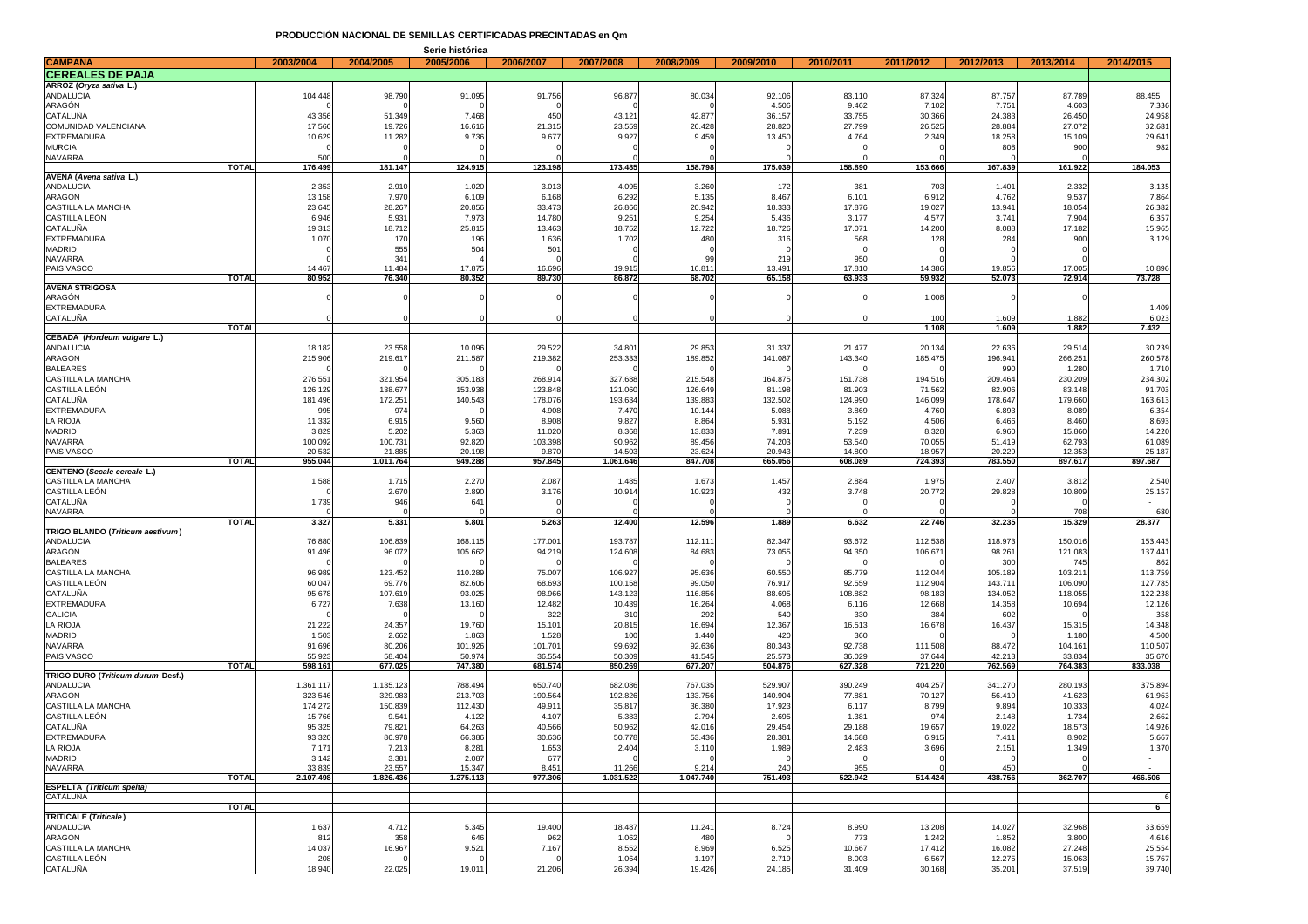|                                                  |                   |                           | Serie histórica   |                   |                    |                  |                  |                  |                    |                   |                    |                    |
|--------------------------------------------------|-------------------|---------------------------|-------------------|-------------------|--------------------|------------------|------------------|------------------|--------------------|-------------------|--------------------|--------------------|
| <b>CAMPANA</b>                                   | 2003/2004         | 2004/2005                 | 2005/2006         | 2006/2007         | 2007/2008          | 2008/2009        | 2009/2010        | 2010/2011        | 2011/2012          | 2012/2013         | 2013/2014          | 2014/2015          |
| <b>CEREALES DE PAJA</b>                          |                   |                           |                   |                   |                    |                  |                  |                  |                    |                   |                    |                    |
| ARROZ (Oryza sativa L.)                          |                   |                           |                   |                   |                    |                  |                  |                  |                    |                   |                    |                    |
| ANDALUCIA<br>ARAGÓN                              | 104.448           | 98.790                    | 91.095            | 91.756            | 96.877             | 80.034           | 92.106<br>4.506  | 83.110<br>9.462  | 87.324<br>7.102    | 87.757<br>7.751   | 87.789<br>4.603    | 88.455<br>7.336    |
| CATALUÑA                                         | 43.356            | 51.349                    | 7.468             | 450               | 43.121             | 42.877           | 36.157           | 33.755           | 30.366             | 24.383            | 26.450             | 24.958             |
| COMUNIDAD VALENCIANA                             | 17.566            | 19.726                    | 16.61             | 21.315            | 23.559             | 26.428           | 28.820           | 27.799           | 26.525             | 28.884            | 27.072             | 32.681             |
| <b>EXTREMADURA</b>                               | 10.629            | 11.282                    | 9.736             | 9.677             | 9.927              | 9.459            | 13.450           | 4.764            | 2.349              | 18.258            | 15.109             | 29.641             |
| <b>MURCIA</b>                                    |                   |                           |                   |                   |                    |                  |                  |                  |                    | 808               | 900                | 982                |
| NAVARRA                                          | 500               |                           |                   |                   |                    |                  |                  |                  |                    |                   |                    |                    |
| <b>TOTAL</b><br>AVENA (Avena sativa L.)          | 176.499           | 181.147                   | 124.915           | 123.198           | 173.485            | 158.798          | 175.039          | 158.890          | 153.666            | 167.839           | 161.922            | 184.053            |
| ANDALUCIA                                        | 2.353             | 2.910                     | 1.020             | 3.013             | 4.095              | 3.260            | 172              | 381              | 703                | 1.401             | 2.332              | 3.135              |
| ARAGON                                           | 13.158            | 7.970                     | 6.109             | 6.168             | 6.292              | 5.135            | 8.467            | 6.101            | 6.912              | 4.762             | 9.537              | 7.864              |
| CASTILLA LA MANCHA                               | 23.645            | 28.267                    | 20.856            | 33.473            | 26.866             | 20.942           | 18.333           | 17.876           | 19.027             | 13.941            | 18.054             | 26.382             |
| CASTILLA LEON                                    | 6.946             | 5.931                     | 7.97              | 14.780            | 9.251              | 9.254            | 5.436            | 3.177            | 4.577              | 3.74              | 7.904              | 6.357              |
| CATALUÑA                                         | 19.313            | 18.712                    | 25.81             | 13.463            | 18.752             | 12.722           | 18.726           | 17.07            | 14.200             | 8.088             | 17.182             | 15.965             |
| <b>EXTREMADURA</b><br><b>MADRID</b>              | 1.070             | 170                       | 19                | 1.636             | 1.702              | 480              | 316              | 568              | 128                | 284               | 900                | 3.129              |
| <b>NAVARRA</b>                                   |                   | 555<br>34 <sup>′</sup>    | 504               | 501               |                    | 99               | 219              | 950              |                    |                   |                    |                    |
| PAIS VASCO                                       | 14.467            | 11.484                    | 17.87             | 16.696            | 19.915             | 16.811           | 13.491           | 17.81            | 14.386             | 19.856            | 17.005             | 10.896             |
| <b>TOTAL</b>                                     | 80.952            | 76.340                    | 80.352            | 89.730            | 86.872             | 68.702           | 65.158           | 63.933           | 59.932             | 52.073            | 72.914             | 73.728             |
| <b>AVENA STRIGOSA</b>                            |                   |                           |                   |                   |                    |                  |                  |                  |                    |                   |                    |                    |
| ARAGON<br><b>EXTREMADURA</b>                     |                   |                           |                   |                   |                    |                  |                  |                  | 1.008              |                   |                    | 1.409              |
| CATALUÑA                                         |                   |                           |                   |                   |                    |                  |                  |                  | 100                | 1.609             | 1.882              | 6.023              |
| <b>TOTAL</b>                                     |                   |                           |                   |                   |                    |                  |                  |                  | 1.108              | 1.609             | 1.882              | 7.432              |
| CEBADA (Hordeum vulgare L.)                      |                   |                           |                   |                   |                    |                  |                  |                  |                    |                   |                    |                    |
| ANDALUCIA                                        | 18.182            | 23.558                    | 10.096            | 29.522            | 34.801             | 29.853           | 31.337           | 21.477           | 20.134             | 22.636            | 29.514             | 30.239             |
| ARAGON                                           | 215.906           | 219.617                   | 211.587           | 219.382           | 253.333            | 189.852          | 141.087          | 143.340          | 185.475            | 196.94            | 266.251            | 260.578            |
| <b>BALEARES</b><br>CASTILLA LA MANCHA            | 276.551           | 321.954                   | 305.183           | 268.914           | 327.688            | 215.548          | 164.875          | 151.738          | 194.516            | 990<br>209.464    | 1.280<br>230.209   | 1.710<br>234.302   |
| CASTILLA LEÓN                                    | 126.129           | 138.677                   | 153.938           | 123.848           | 121.060            | 126.649          | 81.198           | 81.903           | 71.562             | 82.906            | 83.148             | 91.703             |
| CATALUNA                                         | 181.496           | 172.251                   | 140.543           | 178.076           | 193.634            | 139.883          | 132.502          | 124.990          | 146.099            | 178.647           | 179.660            | 163.613            |
| <b>EXTREMADURA</b>                               | 995               | 974                       |                   | 4.908             | 7.470              | 10.144           | 5.088            | 3.869            | 4.760              | 6.893             | 8.089              | 6.354              |
| LA RIOJA                                         | 11.332            | 6.915                     | 9.560             | 8.908             | 9.827              | 8.864            | 5.931            | 5.192            | 4.506              | 6.466             | 8.460              | 8.693              |
| <b>MADRID</b>                                    | 3.829             | 5.202                     | 5.363             | 11.020            | 8.368              | 13.833           | 7.891            | 7.239            | 8.328              | 6.960             | 15.860             | 14.220             |
| NAVARRA<br>PAIS VASCO                            | 100.092<br>20.532 | 100.731<br>21.885         | 92.820<br>20.198  | 103.398<br>9.870  | 90.962<br>14.503   | 89.456<br>23.624 | 74.203<br>20.943 | 53.540<br>14.800 | 70.055<br>18.957   | 51.419<br>20.229  | 62.793<br>12.353   | 61.089<br>25.187   |
| <b>TOTAL</b>                                     | 955.044           | 1.011.764                 | 949.288           | 957.845           | 1.061.646          | 847.708          | 665.056          | 608.089          | 724.393            | 783.550           | 897.617            | 897.687            |
| CENTENO (Secale cereale L.)                      |                   |                           |                   |                   |                    |                  |                  |                  |                    |                   |                    |                    |
| CASTILLA LA MANCHA                               | 1.588             | 1.715                     | 2.270             | 2.087             | 1.485              | 1.673            | 1.457            | 2.884            | 1.975              | 2.407             | 3.812              | 2.540              |
| CASTILLA LEÓN                                    |                   | 2.670                     | 2.890             | 3.176             | 10.914             | 10.923           | 432              | 3.748            | 20.772             | 29.828            | 10.809             | 25.157             |
| CATALUÑA<br>NAVARRA                              | 1.739             | 946                       | 641               |                   |                    |                  |                  |                  |                    |                   | 708                | 680                |
| <b>TOTAL</b>                                     | 3.327             | 5.331                     | 5.801             | 5.263             | 12.400             | 12.596           | 1.889            | 6.632            | 22.746             | 32.235            | 15.329             | 28.377             |
| TRIGO BLANDO (Triticum aestivum)                 |                   |                           |                   |                   |                    |                  |                  |                  |                    |                   |                    |                    |
| ANDALUCIA                                        | 76.880            | 106.839                   | 168.115           | 177.001           | 193.787            | 112.111          | 82.347           | 93.672           | 112.538            | 118.973           | 150.016            | 153.443            |
| <b>ARAGON</b>                                    | 91.496            | 96.072                    | 105.662           | 94.219            | 124.608            | 84.683           | 73.055           | 94.350           | 106.671            | 98.261            | 121.083            | 137.441            |
| <b>BALEARES</b>                                  |                   |                           |                   |                   |                    |                  |                  |                  |                    | 300               | 745                | 862                |
| CASTILLA LA MANCHA<br>CASTILLA LEÓN              | 96.989<br>60.047  | 123.452<br>69.776         | 110.289<br>82.606 | 75.007<br>68.693  | 106.927<br>100.158 | 95.636<br>99.050 | 60.550<br>76.917 | 85.779<br>92.559 | 112.044<br>112.904 | 105.189<br>143.71 | 103.211<br>106.090 | 113.759<br>127.785 |
| CATALUÑA                                         | 95.678            | 107.619                   | 93.025            | 98.966            | 143.123            | 116.856          | 88.695           | 108.882          | 98.183             | 134.052           | 118.055            | 122.238            |
| <b>EXTREMADURA</b>                               | 6.727             | 7.638                     | 13.160            | 12.482            | 10.439             | 16.264           | 4.068            | 6.116            | 12.668             | 14.358            | 10.694             | 12.126             |
| <b>GALICIA</b>                                   |                   |                           |                   | 322               | 310                | 292              | 540              | 330              | 384                | 602               |                    | 358                |
| LA RIOJA                                         | 21.222            | 24.357                    | 19.760            | 15.101            | 20.815             | 16.694           | 12.367           | 16.513           | 16.678             | 16.437            | 15.315             | 14.348             |
| <b>MADRID</b>                                    | 1.503             | 2.662                     | 1.863             | 1.528             | 100                | 1.440            | 420              | 360              |                    |                   | 1.180              | 4.500              |
| NAVARRA<br>PAIS VASCO                            | 91.696<br>55.923  | 80.206<br>58.404          | 101.926<br>50.97  | 101.701<br>36.554 | 99.692<br>50.309   | 92.636<br>41.545 | 80.343<br>25.57  | 92.738<br>36.029 | 111.508<br>37.644  | 88.472<br>42.213  | 104.161<br>33.834  | 110.507<br>35.670  |
| <b>TOTAL</b>                                     | 598.161           | 677.025                   | 747.380           | 681.574           | 850.269            | 677.207          | 504.876          | 627.328          | 721.220            | 762.569           | 764.383            | 833.038            |
| TRIGO DURO ( <i>Triticum durum Desf.</i> )       |                   |                           |                   |                   |                    |                  |                  |                  |                    |                   |                    |                    |
| ANDALUCIA                                        | 1.361.117         | 1.135.123                 | 788.494           | 650.740           | 682.086            | 767.035          | 529.907          | 390.249          | 404.257            | 341.270           | 280.193            | 375.894            |
| ARAGON                                           | 323.546           | 329.983                   | 213.703           | 190.564           | 192.826            | 133.756          | 140.904          | 77.88            | 70.127             | 56.410            | 41.623             | 61.963             |
| CASTILLA LA MANCHA<br>CASTILLA LEÓN              | 174.272<br>15.766 | 150.839<br>$9.54^{\circ}$ | 112.430<br>4.122  | 49.911<br>4.107   | 35.817<br>5.383    | 36.380<br>2.794  | 17.923<br>2.695  | 6.117<br>1.38    | 8.799<br>974       | 9.894<br>2.148    | 10.333<br>1.734    | 4.024<br>2.662     |
| CATALUÑA                                         | 95.325            | 79.821                    | 64.263            | 40.566            | 50.962             | 42.016           | 29.454           | 29.188           | 19.657             | 19.022            | 18.573             | 14.926             |
| <b>EXTREMADURA</b>                               | 93.320            | 86.978                    | 66.386            | 30.636            | 50.778             | 53.436           | 28.381           | 14.688           | 6.915              | 7.411             | 8.902              | 5.667              |
| LA RIOJA                                         | 7.171             | 7.213                     | 8.281             | 1.653             | 2.404              | 3.110            | 1.989            | 2.483            | 3.696              | 2.151             | 1.349              | 1.370              |
| MADRID                                           | 3.142             | 3.381                     | 2.087             | 677               |                    |                  |                  |                  |                    |                   |                    | $\sim$             |
| <b>NAVARRA</b>                                   | 33.839            | 23.557                    | 15.347            | 8.451             | 11.266             | 9.214            | 240              | 955              |                    | 450               |                    |                    |
| <b>TOTAL</b><br><b>ESPELTA (Triticum spelta)</b> | 2.107.498         | 1.826.436                 | 1.275.113         | 977.306           | 1.031.522          | 1.047.740        | 751.493          | 522.942          | 514.424            | 438.756           | 362.707            | 466.506            |
| CATALUÑA                                         |                   |                           |                   |                   |                    |                  |                  |                  |                    |                   |                    | 6                  |
| <b>TOTAL</b>                                     |                   |                           |                   |                   |                    |                  |                  |                  |                    |                   |                    | 6                  |
| <b>TRITICALE (Triticale)</b>                     |                   |                           |                   |                   |                    |                  |                  |                  |                    |                   |                    |                    |
| ANDALUCIA<br>ARAGON                              | 1.637<br>812      | 4.712                     | 5.345<br>646      | 19.400<br>962     | 18.487<br>1.062    | 11.241<br>480    | 8.724            | 8.990            | 13.208             | 14.027            | 32.968<br>3.800    | 33.659<br>4.616    |
| CASTILLA LA MANCHA                               | 14.037            | 358<br>16.967             | 9.521             | 7.167             | 8.552              | 8.969            | 6.525            | 773<br>10.667    | 1.242<br>17.412    | 1.852<br>16.082   | 27.248             | 25.554             |
| CASTILLA LEÓN                                    | 208               |                           |                   | 0                 | 1.064              | 1.197            | 2.719            | 8.003            | 6.567              | 12.275            | 15.063             | 15.767             |
| CATALUÑA                                         | 18.940            | 22.025                    | 19.011            | 21.206            | 26.394             | 19.426           | 24.185           | 31.409           | 30.168             | 35.201            | 37.519             | 39.740             |
|                                                  |                   |                           |                   |                   |                    |                  |                  |                  |                    |                   |                    |                    |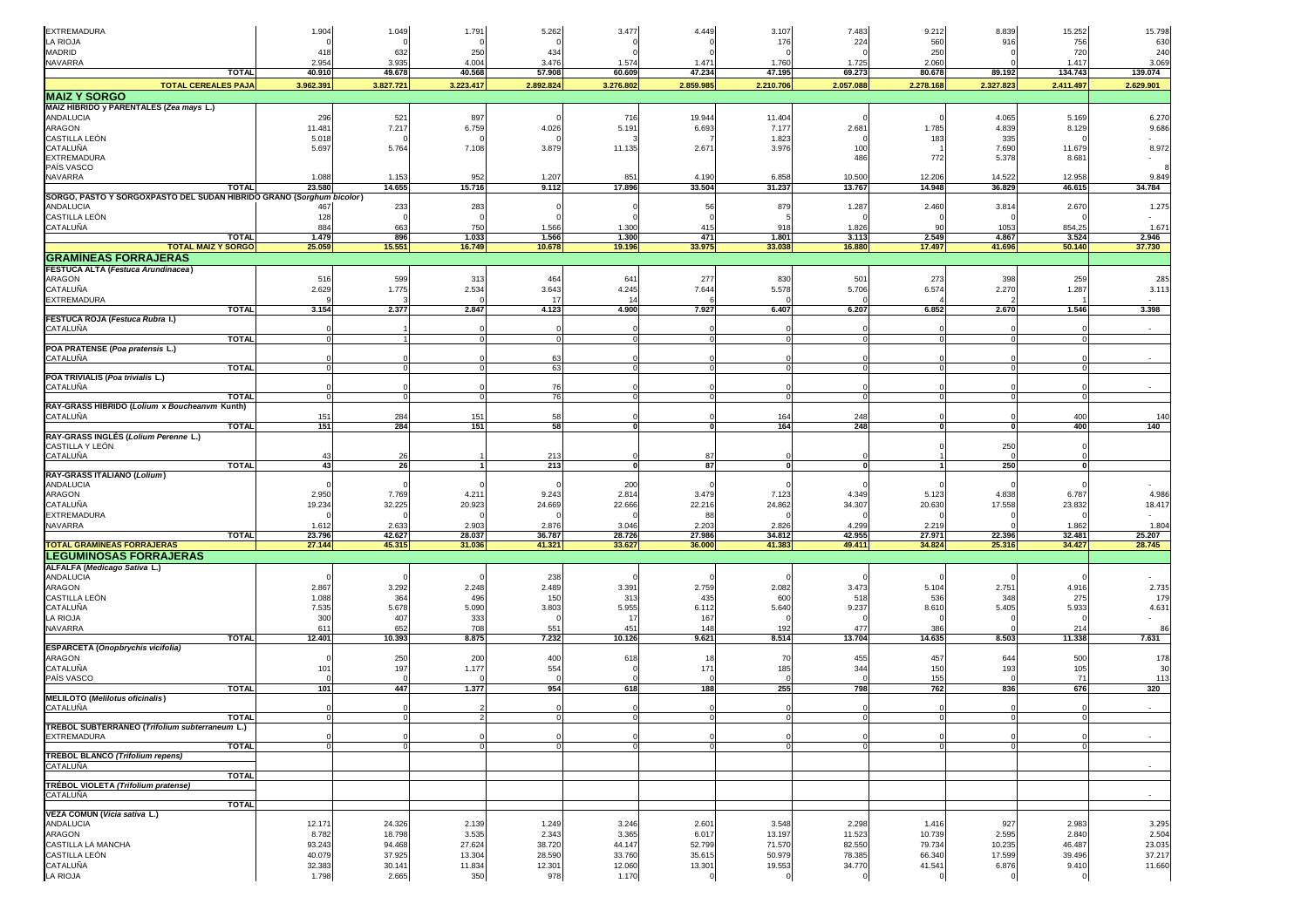| <b>EXTREMADURA</b>                                                                | 1.904            | 1.049            | 1.791            | 5.262            | 3.477            | 4.449            | 3.107            | 7.483            | 9.212            | 8.839            | 15.252           | 15.798           |
|-----------------------------------------------------------------------------------|------------------|------------------|------------------|------------------|------------------|------------------|------------------|------------------|------------------|------------------|------------------|------------------|
| LA RIOJA                                                                          |                  |                  |                  |                  |                  |                  | 176              | 224              | 560              | 916              | 756              | 630              |
| MADRID                                                                            | 418              | 632              | 250              | 434              |                  |                  |                  |                  | 250              |                  | 720              | 240              |
| NAVARRA                                                                           | 2.954            | 3.935            | 4.004            | 3.476            | 1.574            | 1.471            | 1.760            | 1.725            | 2.060            |                  | 1.417            | 3.069            |
| <b>TOTAL</b>                                                                      | 40.910           | 49.678           | 40.568           | 57.908           | 60.609           | 47.234           | 47.195           | 69.273           | 80.678           | 89.192           | 134.743          | 139.074          |
| <b>TOTAL CEREALES PAJA</b>                                                        | 3.962.391        | 3.827.721        | 3.223.417        | 2.892.824        | 3.276.802        | 2.859.985        | 2.210.706        | 2.057.088        | 2.278.168        | 2.327.823        | 2.411.497        | 2.629.901        |
| <b>MAIZ Y SORGO</b>                                                               |                  |                  |                  |                  |                  |                  |                  |                  |                  |                  |                  |                  |
| MAIZ HÍBRIDO y PARENTALES (Zea mays L.)                                           |                  |                  |                  |                  |                  |                  |                  |                  |                  |                  |                  |                  |
| ANDALUCIA                                                                         | 296              | 521              | 897              |                  | 716              | 19.944           | 11.404           |                  |                  | 4.065            | 5.169            | 6.270            |
| ARAGON                                                                            | 11.481           | 7.217            | 6.759            | 4.026            | 5.191            | 6.693            | 7.177            | 2.681            | 1.785            | 4.839            | 8.129            | 9.686            |
| CASTILLA LEÓN<br>CATALUÑA                                                         | 5.018<br>5.697   | 5.764            | 7.108            | 3.879            | 11.135           | 2.671            | 1.823<br>3.976   | 100              | 183              | 335<br>7.690     | 11.679           | 8.972            |
| <b>EXTREMADURA</b>                                                                |                  |                  |                  |                  |                  |                  |                  | 486              | 772              | 5.378            | 8.681            |                  |
| <b>PAÍS VASCO</b>                                                                 |                  |                  |                  |                  |                  |                  |                  |                  |                  |                  |                  |                  |
| NAVARRA                                                                           | 1.088            | 1.153            | 952              | 1.207            | 851              | 4.190            | 6.858            | 10.500           | 12.206           | 14.522           | 12.958           | 9.849            |
| <b>TOTAL</b>                                                                      | 23.580           | 14.655           | 15.716           | 9.112            | 17.896           | 33.504           | 31.237           | 13.767           | 14.948           | 36.829           | 46.615           | 34.784           |
| SORGO, PASTO Y SORGOXPASTO DEL SUDAN HÍBRIDO GRANO (Sorghum bicolor)<br>ANDALUCIA | 467              | 233              | 283              |                  |                  | 56               | 879              | 1.287            | 2.460            | 3.814            | 2.670            | 1.275            |
| CASTILLA LEÓN                                                                     | 128              |                  |                  |                  |                  |                  |                  |                  |                  |                  |                  |                  |
| CATALUÑA                                                                          | 884              | 663              | 750              | 1.566            | 1.300            | 415              | 918              | 1.826            | <b>Q</b>         | 1053             | 854,25           | 1.671            |
| <b>TOTAL</b>                                                                      | 1.479            | 896              | 1.033            | 1.566            | 1.300            | 471              | 1.801            | 3.113            | 2.549            | 4.867            | 3.524            | 2.946            |
| <b>TOTAL MAÍZ Y SORGO</b>                                                         | 25.059           | 15.551           | 16.749           | 10.678           | 19.196           | 33.975           | 33.038           | 16.880           | 17.497           | 41.696           | 50.140           | 37.730           |
| <b>GRAMINEAS FORRAJERAS</b>                                                       |                  |                  |                  |                  |                  |                  |                  |                  |                  |                  |                  |                  |
| FESTUCA ALTA (Festuca Arundinacea)                                                |                  |                  |                  |                  |                  |                  |                  |                  |                  |                  |                  |                  |
| ARAGON<br>CATALUÑA                                                                | 516<br>2.629     | 599<br>1.775     | 313<br>2.534     | 464<br>3.643     | 641<br>4.245     | 277<br>7.644     | 830<br>5.578     | 501<br>5.706     | 273<br>6.574     | 398<br>2.270     | 259<br>1.287     | 285<br>3.113     |
| EXTREMADURA                                                                       |                  |                  |                  | 17               | 14               |                  |                  |                  |                  |                  |                  |                  |
| <b>TOTAL</b>                                                                      | 3.154            | 2.377            | 2.847            | 4.123            | 4.900            | 7.927            | 6.407            | 6.207            | 6.852            | 2.670            | 1.546            | 3.398            |
| FESTUCA ROJA (Festuca Rubra I.)                                                   |                  |                  |                  |                  |                  |                  |                  |                  |                  |                  |                  |                  |
| CATALUÑA<br><b>TOTAL</b>                                                          |                  |                  |                  |                  |                  |                  |                  |                  |                  |                  |                  |                  |
| POA PRATENSE (Poa pratensis L.)                                                   |                  |                  | n                |                  |                  |                  | $\Omega$         | $\Omega$         |                  |                  |                  |                  |
| CATALUÑA                                                                          |                  |                  |                  | 63               |                  |                  |                  |                  |                  |                  |                  |                  |
| <b>TOTAL</b>                                                                      |                  |                  |                  | 63               |                  |                  |                  |                  |                  |                  |                  |                  |
| POA TRIVIALIS (Poa trivialis L.)                                                  |                  |                  |                  | 76               |                  |                  |                  |                  |                  |                  |                  |                  |
| CATALUÑA<br><b>TOTAL</b>                                                          |                  |                  |                  | 76               |                  |                  | $\Omega$         |                  |                  |                  |                  |                  |
| RAY-GRASS HÍBRIDO (Lolium x Boucheanvm Kunth)                                     |                  |                  |                  |                  |                  |                  |                  |                  |                  |                  |                  |                  |
| CATALUÑA                                                                          | 151              | 284              | 15'              | 58               |                  |                  | 164              | 248              |                  |                  | 400              | 140              |
| <b>TOTAL</b>                                                                      | 151              | 284              | 151              | 58               |                  | O                | 164              | 248              |                  |                  | 400              | 140              |
| RAY-GRASS INGLÉS (Lolium Perenne L.)<br>CASTILLA Y LEÓN                           |                  |                  |                  |                  |                  |                  |                  |                  |                  | 250              |                  |                  |
| CATALUÑA                                                                          | 4 <sup>′</sup>   | 26               |                  | 213              |                  | 87               |                  |                  |                  |                  |                  |                  |
| <b>TOTAL</b>                                                                      | 43               | 26               |                  | 213              |                  | 87               | $\bf{0}$         | $\mathbf{0}$     |                  | 250              | $\mathbf{0}$     |                  |
| RAY-GRASS ITALIANO (Lolium)                                                       |                  |                  |                  |                  |                  |                  |                  |                  |                  |                  |                  |                  |
| ANDALUCIA<br>ARAGON                                                               | 2.950            | 7.769            | 4.21             | 9.243            | 200<br>2.814     | 3.479            | 7.123            | 4.349            | 5.123            | 4.838            | 6.787            | 4.986            |
| CATALUÑA                                                                          | 19.234           | 32.225           | 20.923           | 24.669           | 22.666           | 22.216           | 24.862           | 34.307           | 20.630           | 17.558           | 23.832           | 18.417           |
| EXTREMADURA                                                                       |                  |                  |                  |                  |                  | 88               |                  |                  |                  |                  |                  |                  |
| NAVARRA                                                                           | 1.612            | 2.633            | 2.903            | 2.876            | 3.046            | 2.203            | 2.826            | 4.299            | 2.219            |                  | 1.862            | 1.804            |
| <b>TOTAL</b>                                                                      | 23.796           | 42.627           | 28.037           | 36.787           | 28.726           | 27.986           | 34.812           | 42.955           | 27.971           | 22.396           | 32.481           | 25.207           |
| <b>TOTAL GRAMÍNEAS FORRAJERAS</b>                                                 | 27.144           | 45.315           | 31.036           | 41.321           | 33.627           | 36.000           | 41.383           | 49.411           | 34.824           | 25.316           | 34.427           | 28.745           |
| <b>LEGUMINOSAS FORRAJERAS</b><br>ALFALFA (Medicago Sativa L.)                     |                  |                  |                  |                  |                  |                  |                  |                  |                  |                  |                  |                  |
| <b>ANDALUCIA</b>                                                                  |                  |                  |                  | 238              |                  |                  |                  |                  |                  |                  |                  |                  |
| ARAGON                                                                            | 2.867            | 3.292            | 2.248            | 2.489            | 3.391            | 2.759            | 2.082            | 3.473            | 5.104            | 2.751            | 4.916            | 2.735            |
| CASTILLA LEÓN                                                                     | 1.088            | 364              | 496              | 15 <sub>C</sub>  | 313              | 435              | 600              | 518              | 536              | 348              | 275              | 179              |
| CATALUÑA                                                                          | 7.535            | 5.678            | 5.090            | 3.803            | 5.955            | 6.112            | 5.640            | 9.237            | 8.610            | 5.405            | 5.933            | 4.631            |
| LA RIOJA                                                                          | 300              | 407              | 333              |                  | 17               | 167              |                  |                  |                  |                  |                  |                  |
| NAVARRA<br><b>TOTAL</b>                                                           | 611<br>12.401    | 652<br>10.393    | 708<br>8.875     | 551<br>7.232     | 451<br>10.126    | 148<br>9.621     | 192<br>8.514     | 477<br>13.704    | 386<br>14.635    | 8.503            | 214<br>11.338    | 86<br>7.631      |
| ESPARCETA (Onopbrychis vicifolia)                                                 |                  |                  |                  |                  |                  |                  |                  |                  |                  |                  |                  |                  |
| ARAGON                                                                            |                  | 250              | 200              | 400              | 618              | 18               | 70               | 455              | 457              | 644              | 500              | 178              |
| CATALUÑA                                                                          | 101              | 197              | 1.177            | 554              |                  | 171              | 185              | 344              | 150              | 193              | 105              | 30               |
| PAÍS VASCO                                                                        |                  |                  |                  |                  |                  |                  |                  |                  | 155              |                  | 71               | 113              |
| <b>TOTAL</b><br><b>MELILOTO</b> (Melilotus oficinalis)                            | 101              | 447              | 1.377            | 954              | 618              | 188              | 255              | 798              | 762              | 836              | 676              | 320              |
| CATALUÑA                                                                          |                  |                  |                  |                  |                  |                  |                  |                  |                  |                  |                  |                  |
| <b>TOTAL</b>                                                                      |                  |                  |                  |                  |                  |                  |                  |                  |                  |                  |                  |                  |
| TRÉBOL SUBTERRÁNEO (Trifolium subterraneum L.)                                    |                  |                  |                  |                  |                  |                  |                  |                  |                  |                  |                  |                  |
| EXTREMADURA<br><b>TOTAL</b>                                                       |                  |                  | $\Omega$         | $\Omega$         |                  | $\sqrt{ }$       | $\Omega$         |                  |                  |                  | $\Omega$         |                  |
| TRÉBOL BLANCO (Trifolium repens)                                                  |                  |                  |                  |                  |                  |                  |                  |                  |                  |                  |                  |                  |
| CATALUÑA                                                                          |                  |                  |                  |                  |                  |                  |                  |                  |                  |                  |                  |                  |
| <b>TOTAL</b>                                                                      |                  |                  |                  |                  |                  |                  |                  |                  |                  |                  |                  |                  |
| TRÉBOL VIOLETA (Trifolium pratense)<br><b>CATALUÑA</b>                            |                  |                  |                  |                  |                  |                  |                  |                  |                  |                  |                  |                  |
| <b>TOTAL</b>                                                                      |                  |                  |                  |                  |                  |                  |                  |                  |                  |                  |                  |                  |
| VEZA COMÚN (Vicia sativa L.)                                                      |                  |                  |                  |                  |                  |                  |                  |                  |                  |                  |                  |                  |
| <b>ANDALUCIA</b>                                                                  | 12.171           | 24.326           | 2.139            | 1.249            | 3.246            | 2.601            | 3.548            | 2.298            | 1.416            | 927              | 2.983            | 3.295            |
| ARAGON                                                                            | 8.782            | 18.798           | 3.535            | 2.343            | 3.365            | 6.017            | 13.197           | 11.523           | 10.739           | 2.595            | 2.840            | 2.504            |
| CASTILLA LA MANCHA<br>CASTILLA LEÓN                                               | 93.243<br>40.079 | 94.468<br>37.925 | 27.624<br>13.304 | 38.720<br>28.590 | 44.147<br>33.760 | 52.799<br>35.615 | 71.570<br>50.979 | 82.550<br>78.385 | 79.734<br>66.340 | 10.235<br>17.599 | 46.487<br>39.496 | 23.035<br>37.217 |
| CATALUÑA                                                                          | 32.383           | 30.141           | 11.834           | 12.301           | 12.060           | 13.301           | 19.553           | 34.770           | 41.541           | 6.876            | 9.410            | 11.660           |
| LA RIOJA                                                                          | 1.798            | 2.665            | 350              | 978              | 1.170            |                  | 0                |                  |                  |                  | 0                |                  |
|                                                                                   |                  |                  |                  |                  |                  |                  |                  |                  |                  |                  |                  |                  |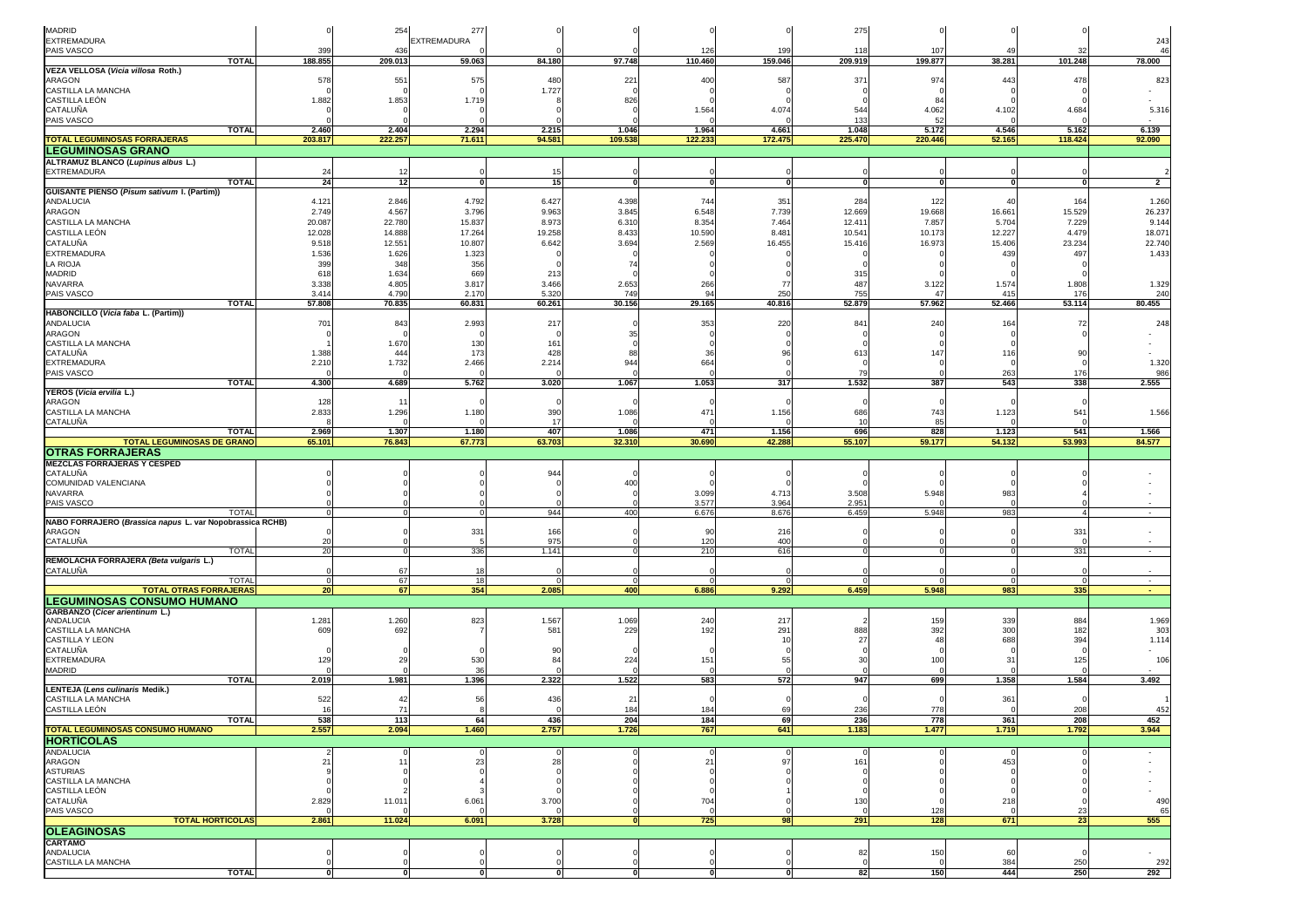| MADRID<br>EXTREMADURA                                                                      |                 | 254              | 277<br>EXTREMADURA |                 |                |                   |                 | 275              |                  |                  |                 | 243                      |
|--------------------------------------------------------------------------------------------|-----------------|------------------|--------------------|-----------------|----------------|-------------------|-----------------|------------------|------------------|------------------|-----------------|--------------------------|
| PAIS VASCO                                                                                 | 399             | 436              |                    |                 |                | 126               | 199             | 11               | 10 <sub>1</sub>  | 4 <sup>c</sup>   |                 | 46                       |
| <b>TOTAL</b>                                                                               | 188.855         | 209.013          | 59.063             | 84.180          | 97.748         | 110.460           | 159.046         | 209.919          | 199.877          | 38.281           | 101.248         | 78.000                   |
| VEZA VELLOSA (Vicia villosa Roth.)<br>ARAGON                                               | 578             | 551              | 575                | 480             | 221            | 400               | 587             | 371              | 974              | 443              | 478             | 823                      |
| CASTILLA LA MANCHA                                                                         |                 |                  |                    | 1.727           |                |                   |                 |                  |                  |                  |                 |                          |
| CASTILLA LEÓN                                                                              | 1.882           | 1.853            | 1.719              |                 | 826            |                   |                 |                  |                  |                  |                 |                          |
| CATALUÑA<br>PAIS VASCO                                                                     |                 |                  |                    |                 |                | 1.564             | 4.074           | 544              | 4.062            | 4.102            | 4.684           | 5.316                    |
| <b>TOTAL</b>                                                                               | 2.460           | 2.404            | 2.294              | 2.215           | 1.046          | 1.964             | 4.661           | 133<br>1.048     | 5.172            | 4.546            | 5.162           | 6.139                    |
| <b>TOTAL LEGUMINOSAS FORRAJERAS</b>                                                        | 203.817         | 222.257          | 71.611             | 94.581          | 109.538        | 122.233           | 172.475         | 225.470          | 220.446          | 52.165           | 118.424         | 92.090                   |
| <b>LEGUMINOSAS GRANO</b>                                                                   |                 |                  |                    |                 |                |                   |                 |                  |                  |                  |                 |                          |
| ALTRAMUZ BLANCO (Lupinus albus L.)                                                         |                 |                  |                    |                 |                |                   |                 |                  |                  |                  |                 |                          |
| <b>EXTREMADURA</b><br><b>TOTAL</b>                                                         | 24<br>24        | -12<br>12        |                    | 15              |                | $\Omega$          | $\mathbf{0}$    |                  |                  | $\mathbf{0}$     | $\mathbf{0}$    | $\overline{2}$           |
| GUISANTE PIENSO (Pisum sativum I. (Partim))                                                |                 |                  |                    |                 |                |                   |                 |                  |                  |                  |                 |                          |
| ANDALUCIA                                                                                  | 4.121           | 2.846            | 4.792              | 6.427           | 4.398          | 744               | 351             | 284              | 122              | 40               | 164             | 1.260                    |
| ARAGON                                                                                     | 2.749           | 4.567            | 3.796              | 9.963           | 3.845          | 6.548             | 7.739           | 12.669           | 19.668           | 16.661           | 15.529          | 26.237                   |
| CASTILLA LA MANCHA<br>CASTILLA LEÓN                                                        | 20.087          | 22.780           | 15.837             | 8.973           | 6.310          | 8.354             | 7.464           | 12.41            | 7.857            | 5.704            | 7.229           | 9.144                    |
| CATALUÑA                                                                                   | 12.028<br>9.518 | 14.888<br>12.551 | 17.264<br>10.807   | 19.258<br>6.642 | 8.433<br>3.694 | 10.590<br>2.569   | 8.481<br>16.455 | 10.541<br>15.416 | 10.173<br>16.973 | 12.227<br>15.406 | 4.479<br>23.234 | 18.071<br>22.740         |
| <b>EXTREMADURA</b>                                                                         | 1.536           | 1.626            | 1.323              |                 |                |                   |                 |                  |                  | 439              | 497             | 1.433                    |
| LA RIOJA                                                                                   | 399             | 348              | 356                |                 | -74            |                   |                 |                  |                  |                  |                 |                          |
| MADRID                                                                                     | 618             | 1.634            | 669                | 213             |                |                   |                 | 315              |                  |                  |                 |                          |
| <b>NAVARRA</b>                                                                             | 3.338           | 4.805            | 3.817              | 3.466           | 2.653          | 266               | 77              | 487              | 3.122<br>47      | 1.574            | 1.808           | 1.329                    |
| PAIS VASCO<br><b>TOTAL</b>                                                                 | 3.414<br>57.808 | 4.790<br>70.835  | 2.170<br>60.831    | 5.320<br>60.261 | 749<br>30.156  | 94<br>29.165      | 250<br>40.816   | 755<br>52.879    | 57.962           | 415<br>52.466    | 176<br>53.114   | 240<br>80.455            |
| HABONCILLO (Vicia faba L. (Partim))                                                        |                 |                  |                    |                 |                |                   |                 |                  |                  |                  |                 |                          |
| ANDALUCIA                                                                                  | 701             | 843              | 2.993              | 217             |                | 353               | 220             | 84               | 240              | 164              | 72              | 248                      |
| <b>ARAGON</b>                                                                              |                 |                  |                    |                 | 35             |                   |                 |                  |                  |                  |                 |                          |
| CASTILLA LA MANCHA<br>CATALUÑA                                                             | 1.388           | 1.670<br>444     | 130<br>173         | 161<br>428      | 88             | 36                | <b>Q</b>        | 613              | 147              | 116              | 90              |                          |
| <b>EXTREMADURA</b>                                                                         | 2.210           | 1.732            | 2.466              | 2.214           | 944            | 664               |                 |                  |                  |                  |                 | 1.320                    |
| PAIS VASCO                                                                                 |                 |                  |                    |                 |                |                   |                 | 79               |                  | 263              | 176             | 986                      |
| <b>TOTAL</b>                                                                               | 4.300           | 4.689            | 5.762              | 3.020           | 1.067          | 1.053             | 317             | 1.532            | 387              | 543              | 338             | 2.555                    |
| YEROS (Vicia ervilia L.)                                                                   |                 |                  |                    |                 |                |                   |                 |                  |                  |                  |                 |                          |
| ARAGON<br>CASTILLA LA MANCHA                                                               | 128<br>2.833    | 11<br>1.296      | 1.180              | 390             | 1.086          | 471               | 1.156           | 686              | 743              | 1.123            | 541             | 1.566                    |
| CATALUÑA                                                                                   |                 |                  |                    | 17              |                |                   |                 | $\overline{1}$   | 85               |                  |                 |                          |
| <b>TOTAL</b>                                                                               | 2.969           | 1.307            | 1.180              | 407             | 1.086          | 471               | 1.156           | 696              | 828              | 1.123            | 541             | 1.566                    |
| <b>TOTAL LEGUMINOSAS DE GRANO</b>                                                          | 65.101          | 76.843           | 67.773             | 63.703          | 32.310         | 30.690            | 42.288          | 55.107           | 59.177           | 54.132           | 53.993          | 84.577                   |
| <b>OTRAS FORRAJERAS</b><br><b>MEZCLAS FORRAJERAS Y CESPED</b>                              |                 |                  |                    |                 |                |                   |                 |                  |                  |                  |                 |                          |
| CATALUÑA                                                                                   |                 |                  |                    | 944             |                |                   |                 |                  |                  |                  |                 |                          |
| COMUNIDAD VALENCIANA                                                                       |                 |                  |                    |                 | 400            |                   |                 |                  |                  |                  |                 |                          |
| <b>NAVARRA</b>                                                                             |                 |                  |                    |                 |                | 3.099             | 4.713           | 3.508            | 5.948            | 983              |                 |                          |
| PAIS VASCO<br><b>TOTAL</b>                                                                 |                 |                  |                    | 944             | 400            | 3.577<br>6.676    | 3.964<br>8.676  | 2.951<br>6.459   | 5.948            | 983              |                 | $\overline{\phantom{a}}$ |
| NABO FORRAJERO (Brassica napus L. var Nopobrassica RCHB)                                   |                 |                  |                    |                 |                |                   |                 |                  |                  |                  |                 |                          |
| ARAGON                                                                                     |                 |                  | 331                | 166             |                | 90                | 216             |                  |                  |                  | 331             |                          |
| CATALUÑA                                                                                   | 20              |                  |                    | 975             |                | 120               | 400             |                  |                  |                  |                 |                          |
| <b>TOTAL</b><br>REMOLACHA FORRAJERA (Beta vulgaris L.)                                     | 20              |                  | 336                | 1.141           |                | 210               | 616             |                  |                  |                  | 331             | $\sim$                   |
| CATALUÑA                                                                                   |                 | 67               | 18                 |                 |                |                   |                 |                  |                  |                  |                 |                          |
| <b>TOTAL</b>                                                                               |                 | 67               | 18                 |                 |                |                   |                 |                  |                  |                  | $\Omega$        | $\sim$                   |
| <b>TOTAL OTRAS FORRAJERAS</b>                                                              | 20              | 67               | 354                | 2.085           | 400            | 6.886             | 9.292           | 6.459            | 5.948            | 983              | 335             | $\sim$                   |
| <b>LEGUMINOSAS CONSUMO HUMANO</b>                                                          |                 |                  |                    |                 |                |                   |                 |                  |                  |                  |                 |                          |
| GARBANZO (Cicer arientinum L.)<br>ANDALUCIA                                                | 1.281           | 1.260            | 823                | 1.567           | 1.069          | 240               | 217             |                  | 159              | 339              | 884             | 1.969                    |
| CASTILLA LA MANCHA                                                                         | 609             | 692              |                    | 581             | 229            | 192               | 291             | 888              | 392              | 300              | 182             | 303                      |
| CASTILLA Y LEON                                                                            |                 |                  |                    |                 |                |                   | 10              | 27               | $\Delta$         | 688              | 394             | 1.114                    |
| CATALUÑA<br><b>EXTREMADURA</b>                                                             | 129             | 29               | 530                | 90<br>84        | 224            | 151               | 55              | з                | 100              | 31               | 125             | 106                      |
| MADRID                                                                                     |                 |                  | -36                |                 |                |                   |                 |                  |                  |                  |                 |                          |
| <b>TOTAL</b>                                                                               | 2.019           | 1.981            | 1.396              | 2.322           | 1.522          | 583               | 572             | 947              | 699              | 1.358            | 1.584           | 3.492                    |
| <b>LENTEJA (Lens culinaris Medik.)</b>                                                     |                 |                  |                    |                 |                |                   |                 |                  |                  |                  |                 |                          |
| CASTILLA LA MANCHA<br>CASTILLA LEÓN                                                        | 522<br>16       | 42<br>71         | 56                 | 436             | 21<br>184      | 184               | 69              | 236              | 778              | 361              | 208             | 452                      |
| IOIAL                                                                                      | 538             | 113              | -64                | 436             | 204            | 184               | 69              | 236              | 778              | 361              | 208             | 452                      |
| <b>TOTAL LEGUMINOSAS CONSUMO HUMANO</b>                                                    | 2.557           | 2.094            | 1.460              | 2.757           | 1.726          | 767               | 641             | 1.183            | 1.477            | 1.719            | 1.792           | 3.944                    |
| <b>HORTICOLAS</b>                                                                          |                 |                  |                    |                 |                |                   |                 |                  |                  |                  |                 |                          |
| <b>ANDALUCIA</b>                                                                           |                 |                  |                    |                 |                |                   |                 |                  |                  |                  |                 |                          |
|                                                                                            |                 |                  |                    |                 |                |                   |                 |                  |                  |                  |                 |                          |
|                                                                                            | 21              | 11               | 23                 | 28              |                | 21                | 97              | 161              |                  | 453              |                 |                          |
|                                                                                            |                 |                  |                    |                 |                |                   |                 |                  |                  |                  |                 |                          |
|                                                                                            |                 |                  |                    |                 |                |                   |                 |                  |                  |                  |                 |                          |
|                                                                                            | 2.829           | 11.011           | 6.061              | 3.700           |                | 704               |                 | 130              |                  | 218              |                 | 490                      |
| ARAGON<br><b>ASTURIAS</b><br>CASTILLA LA MANCHA<br>CASTILLA LEÓN<br>CATALUÑA<br>PAIS VASCO | $\Omega$        |                  |                    |                 |                | $\epsilon$        |                 | $\Omega$         | 128              | $\Omega$         | 23              | 65                       |
| <b>TOTAL HORTÍCOLAS</b>                                                                    | 2.861           | 11.024           | 6.091              | 3.728           |                | 725               | 98              | 291              | 128              | 671              | 23              | 555                      |
| <b>OLEAGINOSAS</b>                                                                         |                 |                  |                    |                 |                |                   |                 |                  |                  |                  |                 |                          |
| <b>CARTAMO</b><br>ANDALUCIA                                                                |                 |                  |                    |                 |                |                   |                 | 82               | 150              | 60               |                 |                          |
| CASTILLA LA MANCHA<br><b>TOTAL</b>                                                         | $\mathbf{0}$    | 0                | 0                  | $\mathbf{0}$    | 0              | C<br>$\mathbf{0}$ | 0               | 82               | 150              | 384<br>444       | 250<br>250      | 292<br>292               |